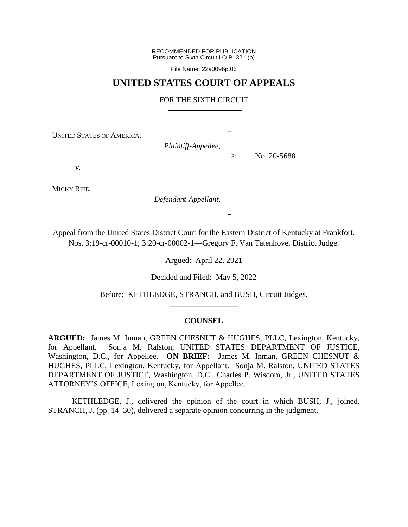RECOMMENDED FOR PUBLICATION Pursuant to Sixth Circuit I.O.P. 32.1(b)

File Name: 22a0096p.06

## **UNITED STATES COURT OF APPEALS**

## FOR THE SIXTH CIRCUIT

┐ │ │ │ │ │ │ │ │ ┘

|<br>|<br>|

UNITED STATES OF AMERICA,

*Plaintiff-Appellee*,

No. 20-5688

*v*.

MICKY RIFE,

*Defendant-Appellant*.

Appeal from the United States District Court for the Eastern District of Kentucky at Frankfort. Nos. 3:19-cr-00010-1; 3:20-cr-00002-1—Gregory F. Van Tatenhove, District Judge.

Argued: April 22, 2021

Decided and Filed: May 5, 2022

Before: KETHLEDGE, STRANCH, and BUSH, Circuit Judges. \_\_\_\_\_\_\_\_\_\_\_\_\_\_\_\_\_

## **COUNSEL**

**ARGUED:** James M. Inman, GREEN CHESNUT & HUGHES, PLLC, Lexington, Kentucky, for Appellant. Sonja M. Ralston, UNITED STATES DEPARTMENT OF JUSTICE, Washington, D.C., for Appellee. **ON BRIEF:** James M. Inman, GREEN CHESNUT & HUGHES, PLLC, Lexington, Kentucky, for Appellant. Sonja M. Ralston, UNITED STATES DEPARTMENT OF JUSTICE, Washington, D.C., Charles P. Wisdom, Jr., UNITED STATES ATTORNEY'S OFFICE, Lexington, Kentucky, for Appellee.

KETHLEDGE, J., delivered the opinion of the court in which BUSH, J., joined. STRANCH, J. (pp. 14–30), delivered a separate opinion concurring in the judgment.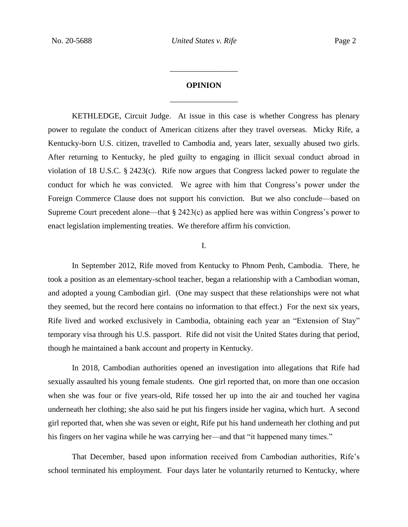# **OPINION** \_\_\_\_\_\_\_\_\_\_\_\_\_\_\_\_\_

\_\_\_\_\_\_\_\_\_\_\_\_\_\_\_\_\_

KETHLEDGE, Circuit Judge. At issue in this case is whether Congress has plenary power to regulate the conduct of American citizens after they travel overseas. Micky Rife, a Kentucky-born U.S. citizen, travelled to Cambodia and, years later, sexually abused two girls. After returning to Kentucky, he pled guilty to engaging in illicit sexual conduct abroad in violation of 18 U.S.C. § 2423(c). Rife now argues that Congress lacked power to regulate the conduct for which he was convicted. We agree with him that Congress's power under the Foreign Commerce Clause does not support his conviction. But we also conclude—based on Supreme Court precedent alone—that § 2423(c) as applied here was within Congress's power to enact legislation implementing treaties. We therefore affirm his conviction.

## I.

In September 2012, Rife moved from Kentucky to Phnom Penh, Cambodia. There, he took a position as an elementary-school teacher, began a relationship with a Cambodian woman, and adopted a young Cambodian girl. (One may suspect that these relationships were not what they seemed, but the record here contains no information to that effect.) For the next six years, Rife lived and worked exclusively in Cambodia, obtaining each year an "Extension of Stay" temporary visa through his U.S. passport. Rife did not visit the United States during that period, though he maintained a bank account and property in Kentucky.

In 2018, Cambodian authorities opened an investigation into allegations that Rife had sexually assaulted his young female students. One girl reported that, on more than one occasion when she was four or five years-old, Rife tossed her up into the air and touched her vagina underneath her clothing; she also said he put his fingers inside her vagina, which hurt. A second girl reported that, when she was seven or eight, Rife put his hand underneath her clothing and put his fingers on her vagina while he was carrying her—and that "it happened many times."

That December, based upon information received from Cambodian authorities, Rife's school terminated his employment. Four days later he voluntarily returned to Kentucky, where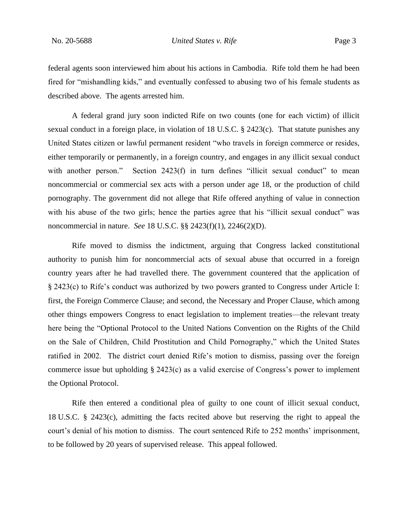federal agents soon interviewed him about his actions in Cambodia. Rife told them he had been fired for "mishandling kids," and eventually confessed to abusing two of his female students as described above. The agents arrested him.

A federal grand jury soon indicted Rife on two counts (one for each victim) of illicit sexual conduct in a foreign place, in violation of 18 U.S.C. § 2423(c). That statute punishes any United States citizen or lawful permanent resident "who travels in foreign commerce or resides, either temporarily or permanently, in a foreign country, and engages in any illicit sexual conduct with another person." Section 2423(f) in turn defines "illicit sexual conduct" to mean noncommercial or commercial sex acts with a person under age 18, or the production of child pornography. The government did not allege that Rife offered anything of value in connection with his abuse of the two girls; hence the parties agree that his "illicit sexual conduct" was noncommercial in nature. *See* 18 U.S.C. §§ 2423(f)(1), 2246(2)(D).

Rife moved to dismiss the indictment, arguing that Congress lacked constitutional authority to punish him for noncommercial acts of sexual abuse that occurred in a foreign country years after he had travelled there. The government countered that the application of § 2423(c) to Rife's conduct was authorized by two powers granted to Congress under Article I: first, the Foreign Commerce Clause; and second, the Necessary and Proper Clause, which among other things empowers Congress to enact legislation to implement treaties—the relevant treaty here being the "Optional Protocol to the United Nations Convention on the Rights of the Child on the Sale of Children, Child Prostitution and Child Pornography," which the United States ratified in 2002. The district court denied Rife's motion to dismiss, passing over the foreign commerce issue but upholding § 2423(c) as a valid exercise of Congress's power to implement the Optional Protocol.

Rife then entered a conditional plea of guilty to one count of illicit sexual conduct, 18 U.S.C. § 2423(c), admitting the facts recited above but reserving the right to appeal the court's denial of his motion to dismiss. The court sentenced Rife to 252 months' imprisonment, to be followed by 20 years of supervised release. This appeal followed.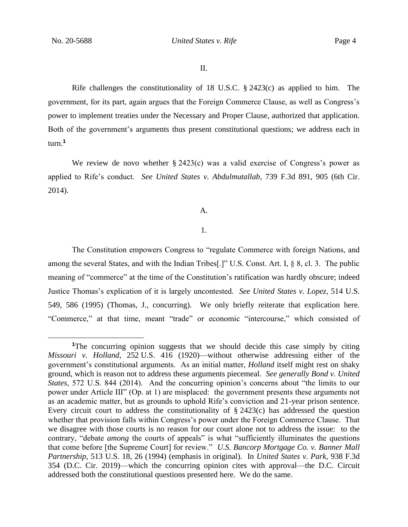Rife challenges the constitutionality of 18 U.S.C. § 2423(c) as applied to him. The government, for its part, again argues that the Foreign Commerce Clause, as well as Congress's power to implement treaties under the Necessary and Proper Clause, authorized that application. Both of the government's arguments thus present constitutional questions; we address each in turn.**<sup>1</sup>**

We review de novo whether  $\S 2423(c)$  was a valid exercise of Congress's power as applied to Rife's conduct. *See United States v. Abdulmutallab*, 739 F.3d 891, 905 (6th Cir. 2014).

A.

#### 1.

The Constitution empowers Congress to "regulate Commerce with foreign Nations, and among the several States, and with the Indian Tribes[.]" U.S. Const. Art. I, § 8, cl. 3. The public meaning of "commerce" at the time of the Constitution's ratification was hardly obscure; indeed Justice Thomas's explication of it is largely uncontested. *See United States v. Lopez*, 514 U.S. 549, 586 (1995) (Thomas, J., concurring). We only briefly reiterate that explication here. "Commerce," at that time, meant "trade" or economic "intercourse," which consisted of

**<sup>1</sup>**The concurring opinion suggests that we should decide this case simply by citing *Missouri v. Holland*, 252 U.S. 416 (1920)—without otherwise addressing either of the government's constitutional arguments. As an initial matter, *Holland* itself might rest on shaky ground, which is reason not to address these arguments piecemeal. *See generally Bond v. United States*, 572 U.S. 844 (2014). And the concurring opinion's concerns about "the limits to our power under Article III" (Op. at 1) are misplaced: the government presents these arguments not as an academic matter, but as grounds to uphold Rife's conviction and 21-year prison sentence. Every circuit court to address the constitutionality of  $\S$  2423(c) has addressed the question whether that provision falls within Congress's power under the Foreign Commerce Clause. That we disagree with those courts is no reason for our court alone not to address the issue: to the contrary, "debate *among* the courts of appeals" is what "sufficiently illuminates the questions that come before [the Supreme Court] for review." *U.S. Bancorp Mortgage Co. v. Banner Mall Partnership*, 513 U.S. 18, 26 (1994) (emphasis in original). In *United States v. Park*, 938 F.3d 354 (D.C. Cir. 2019)—which the concurring opinion cites with approval—the D.C. Circuit addressed both the constitutional questions presented here. We do the same.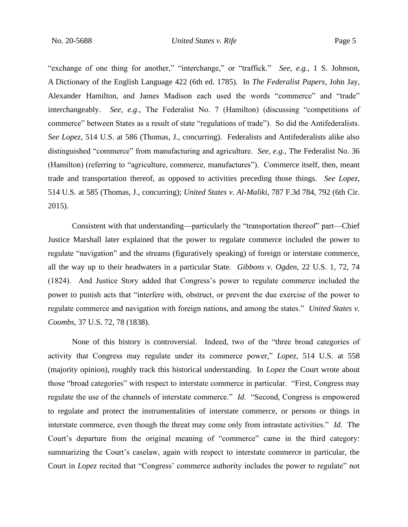"exchange of one thing for another," "interchange," or "traffick." *See, e.g.,* 1 S. Johnson, A Dictionary of the English Language 422 (6th ed. 1785). In *The Federalist Papers*, John Jay, Alexander Hamilton, and James Madison each used the words "commerce" and "trade" interchangeably. *See, e.g.,* The Federalist No. 7 (Hamilton) (discussing "competitions of commerce" between States as a result of state "regulations of trade"). So did the Antifederalists. *See Lopez*, 514 U.S. at 586 (Thomas, J., concurring). Federalists and Antifederalists alike also distinguished "commerce" from manufacturing and agriculture. *See, e.g.,* The Federalist No. 36 (Hamilton) (referring to "agriculture, commerce, manufactures"). Commerce itself, then, meant trade and transportation thereof, as opposed to activities preceding those things. *See Lopez*, 514 U.S. at 585 (Thomas, J., concurring); *United States v. Al-Maliki*, 787 F.3d 784, 792 (6th Cir. 2015).

Consistent with that understanding—particularly the "transportation thereof" part—Chief Justice Marshall later explained that the power to regulate commerce included the power to regulate "navigation" and the streams (figuratively speaking) of foreign or interstate commerce, all the way up to their headwaters in a particular State. *Gibbons v. Ogden*, 22 U.S. 1, 72, 74 (1824). And Justice Story added that Congress's power to regulate commerce included the power to punish acts that "interfere with, obstruct, or prevent the due exercise of the power to regulate commerce and navigation with foreign nations, and among the states." *United States v. Coombs*, 37 U.S. 72, 78 (1838).

None of this history is controversial. Indeed, two of the "three broad categories of activity that Congress may regulate under its commerce power," *Lopez*, 514 U.S. at 558 (majority opinion), roughly track this historical understanding. In *Lopez* the Court wrote about those "broad categories" with respect to interstate commerce in particular. "First, Congress may regulate the use of the channels of interstate commerce." *Id*. "Second, Congress is empowered to regulate and protect the instrumentalities of interstate commerce, or persons or things in interstate commerce, even though the threat may come only from intrastate activities." *Id*. The Court's departure from the original meaning of "commerce" came in the third category: summarizing the Court's caselaw, again with respect to interstate commerce in particular, the Court in *Lopez* recited that "Congress' commerce authority includes the power to regulate" not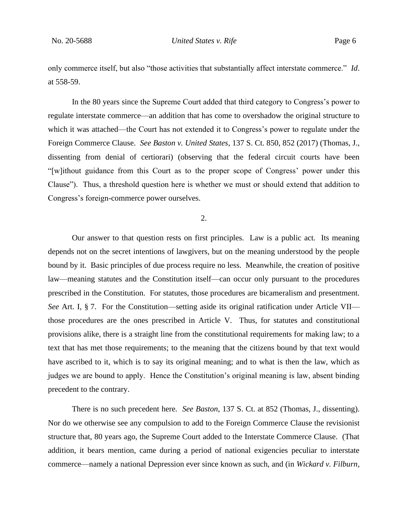only commerce itself, but also "those activities that substantially affect interstate commerce." *Id*. at 558-59.

In the 80 years since the Supreme Court added that third category to Congress's power to regulate interstate commerce—an addition that has come to overshadow the original structure to which it was attached—the Court has not extended it to Congress's power to regulate under the Foreign Commerce Clause. *See Baston v. United States*, 137 S. Ct. 850, 852 (2017) (Thomas, J., dissenting from denial of certiorari) (observing that the federal circuit courts have been "[w]ithout guidance from this Court as to the proper scope of Congress' power under this Clause"). Thus, a threshold question here is whether we must or should extend that addition to Congress's foreign-commerce power ourselves.

2.

Our answer to that question rests on first principles. Law is a public act. Its meaning depends not on the secret intentions of lawgivers, but on the meaning understood by the people bound by it. Basic principles of due process require no less. Meanwhile, the creation of positive law—meaning statutes and the Constitution itself—can occur only pursuant to the procedures prescribed in the Constitution. For statutes, those procedures are bicameralism and presentment. *See* Art. I, § 7. For the Constitution—setting aside its original ratification under Article VII those procedures are the ones prescribed in Article V. Thus, for statutes and constitutional provisions alike, there is a straight line from the constitutional requirements for making law; to a text that has met those requirements; to the meaning that the citizens bound by that text would have ascribed to it, which is to say its original meaning; and to what is then the law, which as judges we are bound to apply. Hence the Constitution's original meaning is law, absent binding precedent to the contrary.

There is no such precedent here. *See Baston*, 137 S. Ct. at 852 (Thomas, J., dissenting). Nor do we otherwise see any compulsion to add to the Foreign Commerce Clause the revisionist structure that, 80 years ago, the Supreme Court added to the Interstate Commerce Clause. (That addition, it bears mention, came during a period of national exigencies peculiar to interstate commerce—namely a national Depression ever since known as such, and (in *Wickard v. Filburn*,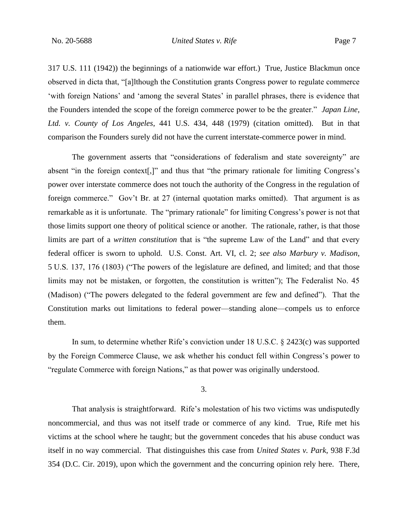317 U.S. 111 (1942)) the beginnings of a nationwide war effort.) True, Justice Blackmun once observed in dicta that, "[a]lthough the Constitution grants Congress power to regulate commerce 'with foreign Nations' and 'among the several States' in parallel phrases, there is evidence that the Founders intended the scope of the foreign commerce power to be the greater." *Japan Line, Ltd. v. County of Los Angeles*, 441 U.S. 434, 448 (1979) (citation omitted). But in that comparison the Founders surely did not have the current interstate-commerce power in mind.

The government asserts that "considerations of federalism and state sovereignty" are absent "in the foreign context[,]" and thus that "the primary rationale for limiting Congress's power over interstate commerce does not touch the authority of the Congress in the regulation of foreign commerce." Gov't Br. at 27 (internal quotation marks omitted). That argument is as remarkable as it is unfortunate. The "primary rationale" for limiting Congress's power is not that those limits support one theory of political science or another. The rationale, rather, is that those limits are part of a *written constitution* that is "the supreme Law of the Land" and that every federal officer is sworn to uphold. U.S. Const. Art. VI, cl. 2; *see also Marbury v. Madison*, 5 U.S. 137, 176 (1803) ("The powers of the legislature are defined, and limited; and that those limits may not be mistaken, or forgotten, the constitution is written"); The Federalist No. 45 (Madison) ("The powers delegated to the federal government are few and defined"). That the Constitution marks out limitations to federal power—standing alone—compels us to enforce them.

In sum, to determine whether Rife's conviction under 18 U.S.C. § 2423(c) was supported by the Foreign Commerce Clause, we ask whether his conduct fell within Congress's power to "regulate Commerce with foreign Nations," as that power was originally understood.

3.

That analysis is straightforward. Rife's molestation of his two victims was undisputedly noncommercial, and thus was not itself trade or commerce of any kind. True, Rife met his victims at the school where he taught; but the government concedes that his abuse conduct was itself in no way commercial. That distinguishes this case from *United States v. Park*, 938 F.3d 354 (D.C. Cir. 2019), upon which the government and the concurring opinion rely here. There,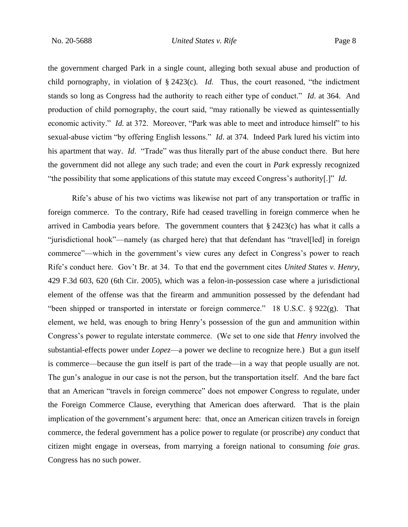the government charged Park in a single count, alleging both sexual abuse and production of child pornography, in violation of § 2423(c). *Id*. Thus, the court reasoned, "the indictment stands so long as Congress had the authority to reach either type of conduct." *Id*. at 364. And production of child pornography, the court said, "may rationally be viewed as quintessentially economic activity." *Id.* at 372. Moreover, "Park was able to meet and introduce himself" to his sexual-abuse victim "by offering English lessons." *Id*. at 374. Indeed Park lured his victim into his apartment that way. *Id*. "Trade" was thus literally part of the abuse conduct there. But here the government did not allege any such trade; and even the court in *Park* expressly recognized "the possibility that some applications of this statute may exceed Congress's authority[.]" *Id*.

Rife's abuse of his two victims was likewise not part of any transportation or traffic in foreign commerce. To the contrary, Rife had ceased travelling in foreign commerce when he arrived in Cambodia years before. The government counters that  $\S 2423(c)$  has what it calls a "jurisdictional hook"—namely (as charged here) that that defendant has "travel[led] in foreign commerce"—which in the government's view cures any defect in Congress's power to reach Rife's conduct here. Gov't Br. at 34. To that end the government cites *United States v. Henry*, 429 F.3d 603, 620 (6th Cir. 2005), which was a felon-in-possession case where a jurisdictional element of the offense was that the firearm and ammunition possessed by the defendant had "been shipped or transported in interstate or foreign commerce." 18 U.S.C. § 922(g). That element, we held, was enough to bring Henry's possession of the gun and ammunition within Congress's power to regulate interstate commerce. (We set to one side that *Henry* involved the substantial-effects power under *Lopez*—a power we decline to recognize here.) But a gun itself is commerce—because the gun itself is part of the trade—in a way that people usually are not. The gun's analogue in our case is not the person, but the transportation itself. And the bare fact that an American "travels in foreign commerce" does not empower Congress to regulate, under the Foreign Commerce Clause, everything that American does afterward. That is the plain implication of the government's argument here: that, once an American citizen travels in foreign commerce, the federal government has a police power to regulate (or proscribe) *any* conduct that citizen might engage in overseas, from marrying a foreign national to consuming *foie gras*. Congress has no such power.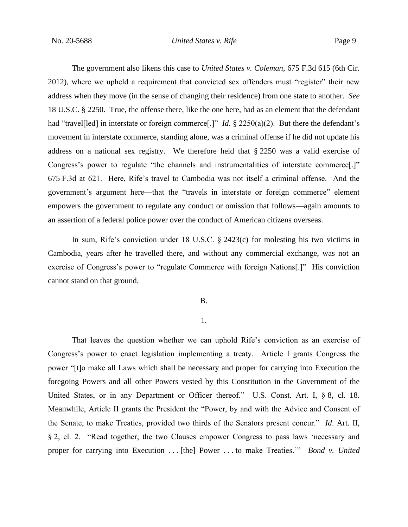## No. 20-5688 *United States v. Rife* Page 9

The government also likens this case to *United States v. Coleman*, 675 F.3d 615 (6th Cir. 2012), where we upheld a requirement that convicted sex offenders must "register" their new address when they move (in the sense of changing their residence) from one state to another. *See* 18 U.S.C. § 2250. True, the offense there, like the one here, had as an element that the defendant had "travel<sup>[led]</sup> in interstate or foreign commerce<sup>[.]"</sup> *Id*. § 2250(a)(2). But there the defendant's movement in interstate commerce, standing alone, was a criminal offense if he did not update his address on a national sex registry. We therefore held that § 2250 was a valid exercise of Congress's power to regulate "the channels and instrumentalities of interstate commerce[.]" 675 F.3d at 621. Here, Rife's travel to Cambodia was not itself a criminal offense. And the government's argument here—that the "travels in interstate or foreign commerce" element empowers the government to regulate any conduct or omission that follows—again amounts to an assertion of a federal police power over the conduct of American citizens overseas.

In sum, Rife's conviction under 18 U.S.C. § 2423(c) for molesting his two victims in Cambodia, years after he travelled there, and without any commercial exchange, was not an exercise of Congress's power to "regulate Commerce with foreign Nations[.]" His conviction cannot stand on that ground.

B.

### 1.

That leaves the question whether we can uphold Rife's conviction as an exercise of Congress's power to enact legislation implementing a treaty. Article I grants Congress the power "[t]o make all Laws which shall be necessary and proper for carrying into Execution the foregoing Powers and all other Powers vested by this Constitution in the Government of the United States, or in any Department or Officer thereof." U.S. Const. Art. I, § 8, cl. 18. Meanwhile, Article II grants the President the "Power, by and with the Advice and Consent of the Senate, to make Treaties, provided two thirds of the Senators present concur." *Id*. Art. II, § 2, cl. 2. "Read together, the two Clauses empower Congress to pass laws 'necessary and proper for carrying into Execution . . . [the] Power . . . to make Treaties.'" *Bond v. United*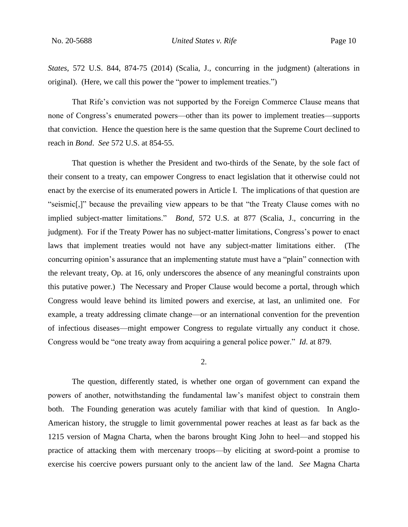*States*, 572 U.S. 844, 874-75 (2014) (Scalia, J., concurring in the judgment) (alterations in original). (Here, we call this power the "power to implement treaties.")

That Rife's conviction was not supported by the Foreign Commerce Clause means that none of Congress's enumerated powers—other than its power to implement treaties—supports that conviction. Hence the question here is the same question that the Supreme Court declined to reach in *Bond*. *See* 572 U.S. at 854-55.

That question is whether the President and two-thirds of the Senate, by the sole fact of their consent to a treaty, can empower Congress to enact legislation that it otherwise could not enact by the exercise of its enumerated powers in Article I. The implications of that question are "seismic[,]" because the prevailing view appears to be that "the Treaty Clause comes with no implied subject-matter limitations." *Bond*, 572 U.S. at 877 (Scalia, J., concurring in the judgment). For if the Treaty Power has no subject-matter limitations, Congress's power to enact laws that implement treaties would not have any subject-matter limitations either. (The concurring opinion's assurance that an implementing statute must have a "plain" connection with the relevant treaty, Op. at 16, only underscores the absence of any meaningful constraints upon this putative power.) The Necessary and Proper Clause would become a portal, through which Congress would leave behind its limited powers and exercise, at last, an unlimited one. For example, a treaty addressing climate change—or an international convention for the prevention of infectious diseases—might empower Congress to regulate virtually any conduct it chose. Congress would be "one treaty away from acquiring a general police power." *Id*. at 879.

2.

The question, differently stated, is whether one organ of government can expand the powers of another, notwithstanding the fundamental law's manifest object to constrain them both. The Founding generation was acutely familiar with that kind of question. In Anglo-American history, the struggle to limit governmental power reaches at least as far back as the 1215 version of Magna Charta, when the barons brought King John to heel—and stopped his practice of attacking them with mercenary troops—by eliciting at sword-point a promise to exercise his coercive powers pursuant only to the ancient law of the land. *See* Magna Charta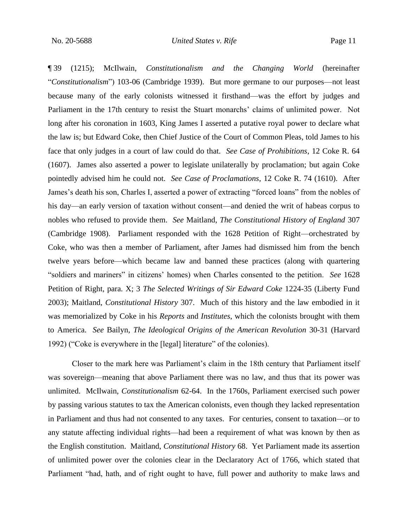¶ 39 (1215); McIlwain, *Constitutionalism and the Changing World* (hereinafter "*Constitutionalism*") 103-06 (Cambridge 1939). But more germane to our purposes—not least because many of the early colonists witnessed it firsthand—was the effort by judges and Parliament in the 17th century to resist the Stuart monarchs' claims of unlimited power. Not long after his coronation in 1603, King James I asserted a putative royal power to declare what the law is; but Edward Coke, then Chief Justice of the Court of Common Pleas, told James to his face that only judges in a court of law could do that. *See Case of Prohibitions*, 12 Coke R. 64 (1607). James also asserted a power to legislate unilaterally by proclamation; but again Coke pointedly advised him he could not. *See Case of Proclamations*, 12 Coke R. 74 (1610). After James's death his son, Charles I, asserted a power of extracting "forced loans" from the nobles of his day—an early version of taxation without consent—and denied the writ of habeas corpus to nobles who refused to provide them. *See* Maitland, *The Constitutional History of England* 307 (Cambridge 1908). Parliament responded with the 1628 Petition of Right—orchestrated by Coke, who was then a member of Parliament, after James had dismissed him from the bench twelve years before—which became law and banned these practices (along with quartering "soldiers and mariners" in citizens' homes) when Charles consented to the petition. *See* 1628 Petition of Right, para. X; 3 *The Selected Writings of Sir Edward Coke* 1224-35 (Liberty Fund 2003); Maitland, *Constitutional History* 307. Much of this history and the law embodied in it was memorialized by Coke in his *Reports* and *Institutes*, which the colonists brought with them to America. *See* Bailyn, *The Ideological Origins of the American Revolution* 30-31 (Harvard 1992) ("Coke is everywhere in the [legal] literature" of the colonies).

Closer to the mark here was Parliament's claim in the 18th century that Parliament itself was sovereign—meaning that above Parliament there was no law, and thus that its power was unlimited. McIlwain, *Constitutionalism* 62-64. In the 1760s, Parliament exercised such power by passing various statutes to tax the American colonists, even though they lacked representation in Parliament and thus had not consented to any taxes. For centuries, consent to taxation—or to any statute affecting individual rights—had been a requirement of what was known by then as the English constitution. Maitland, *Constitutional History* 68. Yet Parliament made its assertion of unlimited power over the colonies clear in the Declaratory Act of 1766, which stated that Parliament "had, hath, and of right ought to have, full power and authority to make laws and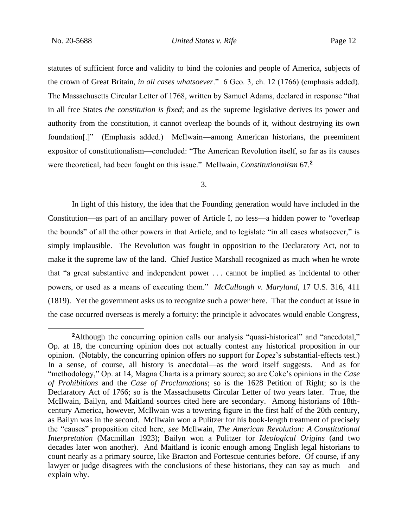statutes of sufficient force and validity to bind the colonies and people of America, subjects of the crown of Great Britain, *in all cases whatsoever*." 6 Geo. 3, ch. 12 (1766) (emphasis added). The Massachusetts Circular Letter of 1768, written by Samuel Adams, declared in response "that in all free States *the constitution is fixed*; and as the supreme legislative derives its power and authority from the constitution, it cannot overleap the bounds of it, without destroying its own foundation[.]" (Emphasis added.) McIlwain—among American historians, the preeminent expositor of constitutionalism—concluded: "The American Revolution itself, so far as its causes were theoretical, had been fought on this issue." McIlwain, *Constitutionalism* 67. **2**

#### 3.

In light of this history, the idea that the Founding generation would have included in the Constitution—as part of an ancillary power of Article I, no less—a hidden power to "overleap the bounds" of all the other powers in that Article, and to legislate "in all cases whatsoever," is simply implausible. The Revolution was fought in opposition to the Declaratory Act, not to make it the supreme law of the land. Chief Justice Marshall recognized as much when he wrote that "a great substantive and independent power . . . cannot be implied as incidental to other powers, or used as a means of executing them." *McCullough v. Maryland*, 17 U.S. 316, 411 (1819). Yet the government asks us to recognize such a power here. That the conduct at issue in the case occurred overseas is merely a fortuity: the principle it advocates would enable Congress,

<sup>&</sup>lt;sup>2</sup>Although the concurring opinion calls our analysis "quasi-historical" and "anecdotal," Op. at 18, the concurring opinion does not actually contest any historical proposition in our opinion. (Notably, the concurring opinion offers no support for *Lopez*'s substantial-effects test.) In a sense, of course, all history is anecdotal—as the word itself suggests. And as for "methodology," Op. at 14, Magna Charta is a primary source; so are Coke's opinions in the *Case of Prohibitions* and the *Case of Proclamations*; so is the 1628 Petition of Right; so is the Declaratory Act of 1766; so is the Massachusetts Circular Letter of two years later. True, the McIlwain, Bailyn, and Maitland sources cited here are secondary. Among historians of 18thcentury America, however, McIlwain was a towering figure in the first half of the 20th century, as Bailyn was in the second. McIlwain won a Pulitzer for his book-length treatment of precisely the "causes" proposition cited here, *see* McIlwain, *The American Revolution: A Constitutional Interpretation* (Macmillan 1923); Bailyn won a Pulitzer for *Ideological Origins* (and two decades later won another). And Maitland is iconic enough among English legal historians to count nearly as a primary source, like Bracton and Fortescue centuries before. Of course, if any lawyer or judge disagrees with the conclusions of these historians, they can say as much—and explain why.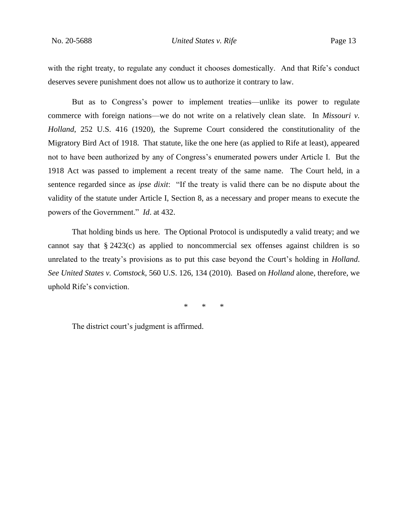No. 20-5688 *United States v. Rife* Page 13

with the right treaty, to regulate any conduct it chooses domestically. And that Rife's conduct deserves severe punishment does not allow us to authorize it contrary to law.

But as to Congress's power to implement treaties—unlike its power to regulate commerce with foreign nations—we do not write on a relatively clean slate. In *Missouri v. Holland*, 252 U.S. 416 (1920), the Supreme Court considered the constitutionality of the Migratory Bird Act of 1918. That statute, like the one here (as applied to Rife at least), appeared not to have been authorized by any of Congress's enumerated powers under Article I. But the 1918 Act was passed to implement a recent treaty of the same name. The Court held, in a sentence regarded since as *ipse dixit*: "If the treaty is valid there can be no dispute about the validity of the statute under Article I, Section 8, as a necessary and proper means to execute the powers of the Government." *Id*. at 432.

That holding binds us here. The Optional Protocol is undisputedly a valid treaty; and we cannot say that § 2423(c) as applied to noncommercial sex offenses against children is so unrelated to the treaty's provisions as to put this case beyond the Court's holding in *Holland*. *See United States v. Comstock*, 560 U.S. 126, 134 (2010). Based on *Holland* alone, therefore, we uphold Rife's conviction.

\* \* \*

The district court's judgment is affirmed.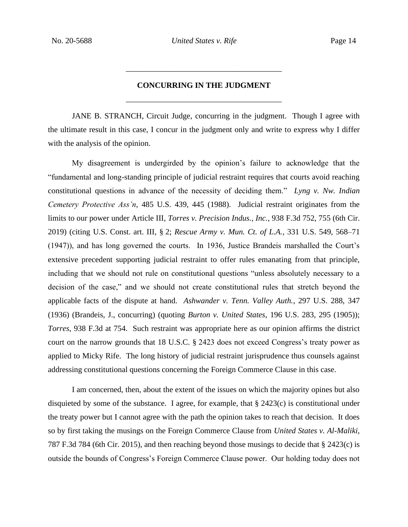# **CONCURRING IN THE JUDGMENT** \_\_\_\_\_\_\_\_\_\_\_\_\_\_\_\_\_\_\_\_\_\_\_\_\_\_\_\_\_\_\_\_\_\_\_\_\_\_\_

\_\_\_\_\_\_\_\_\_\_\_\_\_\_\_\_\_\_\_\_\_\_\_\_\_\_\_\_\_\_\_\_\_\_\_\_\_\_\_

JANE B. STRANCH, Circuit Judge, concurring in the judgment. Though I agree with the ultimate result in this case, I concur in the judgment only and write to express why I differ with the analysis of the opinion.

My disagreement is undergirded by the opinion's failure to acknowledge that the "fundamental and long-standing principle of judicial restraint requires that courts avoid reaching constitutional questions in advance of the necessity of deciding them." *Lyng v. Nw. Indian Cemetery Protective Ass'n*, 485 U.S. 439, 445 (1988). Judicial restraint originates from the limits to our power under Article III, *Torres v. Precision Indus., Inc.*, 938 F.3d 752, 755 (6th Cir. 2019) (citing U.S. Const. art. III, § 2; *Rescue Army v. Mun. Ct. of L.A.*, 331 U.S. 549, 568–71 (1947)), and has long governed the courts. In 1936, Justice Brandeis marshalled the Court's extensive precedent supporting judicial restraint to offer rules emanating from that principle, including that we should not rule on constitutional questions "unless absolutely necessary to a decision of the case," and we should not create constitutional rules that stretch beyond the applicable facts of the dispute at hand. *Ashwander v. Tenn. Valley Auth.*, 297 U.S. 288, 347 (1936) (Brandeis, J., concurring) (quoting *Burton v. United States*, 196 U.S. 283, 295 (1905)); *Torres*, 938 F.3d at 754. Such restraint was appropriate here as our opinion affirms the district court on the narrow grounds that 18 U.S.C. § 2423 does not exceed Congress's treaty power as applied to Micky Rife. The long history of judicial restraint jurisprudence thus counsels against addressing constitutional questions concerning the Foreign Commerce Clause in this case.

I am concerned, then, about the extent of the issues on which the majority opines but also disquieted by some of the substance. I agree, for example, that § 2423(c) is constitutional under the treaty power but I cannot agree with the path the opinion takes to reach that decision. It does so by first taking the musings on the Foreign Commerce Clause from *United States v. Al-Maliki*, 787 F.3d 784 (6th Cir. 2015), and then reaching beyond those musings to decide that § 2423(c) is outside the bounds of Congress's Foreign Commerce Clause power. Our holding today does not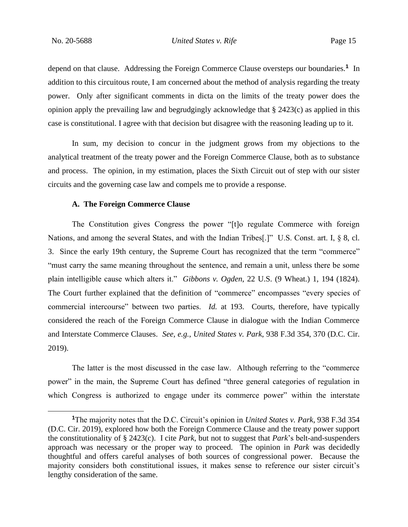depend on that clause. Addressing the Foreign Commerce Clause oversteps our boundaries.**<sup>1</sup>** In addition to this circuitous route, I am concerned about the method of analysis regarding the treaty power. Only after significant comments in dicta on the limits of the treaty power does the opinion apply the prevailing law and begrudgingly acknowledge that § 2423(c) as applied in this case is constitutional. I agree with that decision but disagree with the reasoning leading up to it.

In sum, my decision to concur in the judgment grows from my objections to the analytical treatment of the treaty power and the Foreign Commerce Clause, both as to substance and process. The opinion, in my estimation, places the Sixth Circuit out of step with our sister circuits and the governing case law and compels me to provide a response.

### **A. The Foreign Commerce Clause**

The Constitution gives Congress the power "[t]o regulate Commerce with foreign Nations, and among the several States, and with the Indian Tribes[.]" U.S. Const. art. I, § 8, cl. 3. Since the early 19th century, the Supreme Court has recognized that the term "commerce" "must carry the same meaning throughout the sentence, and remain a unit, unless there be some plain intelligible cause which alters it." *Gibbons v. Ogden*, 22 U.S. (9 Wheat.) 1, 194 (1824). The Court further explained that the definition of "commerce" encompasses "every species of commercial intercourse" between two parties. *Id.* at 193. Courts, therefore, have typically considered the reach of the Foreign Commerce Clause in dialogue with the Indian Commerce and Interstate Commerce Clauses. *See, e.g.*, *United States v. Park*, 938 F.3d 354, 370 (D.C. Cir. 2019).

The latter is the most discussed in the case law. Although referring to the "commerce power" in the main, the Supreme Court has defined "three general categories of regulation in which Congress is authorized to engage under its commerce power" within the interstate

**<sup>1</sup>**The majority notes that the D.C. Circuit's opinion in *United States v. Park*, 938 F.3d 354 (D.C. Cir. 2019), explored how both the Foreign Commerce Clause and the treaty power support the constitutionality of § 2423(c). I cite *Park*, but not to suggest that *Park*'s belt-and-suspenders approach was necessary or the proper way to proceed. The opinion in *Park* was decidedly thoughtful and offers careful analyses of both sources of congressional power. Because the majority considers both constitutional issues, it makes sense to reference our sister circuit's lengthy consideration of the same.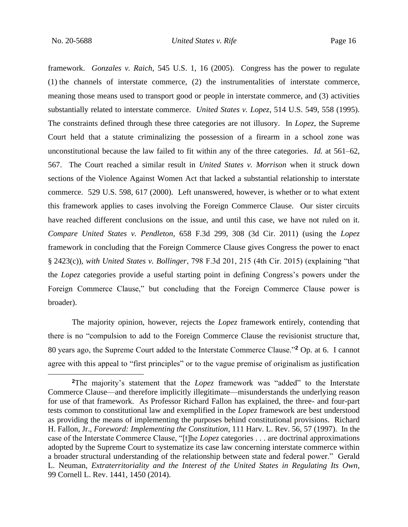framework. *Gonzales v. Raich*, 545 U.S. 1, 16 (2005). Congress has the power to regulate (1) the channels of interstate commerce, (2) the instrumentalities of interstate commerce, meaning those means used to transport good or people in interstate commerce, and (3) activities substantially related to interstate commerce. *United States v. Lopez*, 514 U.S. 549, 558 (1995). The constraints defined through these three categories are not illusory. In *Lopez*, the Supreme Court held that a statute criminalizing the possession of a firearm in a school zone was unconstitutional because the law failed to fit within any of the three categories. *Id.* at 561–62, 567. The Court reached a similar result in *United States v. Morrison* when it struck down sections of the Violence Against Women Act that lacked a substantial relationship to interstate commerce. 529 U.S. 598, 617 (2000). Left unanswered, however, is whether or to what extent this framework applies to cases involving the Foreign Commerce Clause. Our sister circuits have reached different conclusions on the issue, and until this case, we have not ruled on it. *Compare United States v. Pendleton*, 658 F.3d 299, 308 (3d Cir. 2011) (using the *Lopez*  framework in concluding that the Foreign Commerce Clause gives Congress the power to enact § 2423(c)), *with United States v. Bollinger*, 798 F.3d 201, 215 (4th Cir. 2015) (explaining "that the *Lopez* categories provide a useful starting point in defining Congress's powers under the Foreign Commerce Clause," but concluding that the Foreign Commerce Clause power is broader).

The majority opinion, however, rejects the *Lopez* framework entirely, contending that there is no "compulsion to add to the Foreign Commerce Clause the revisionist structure that, 80 years ago, the Supreme Court added to the Interstate Commerce Clause."**<sup>2</sup>** Op. at 6. I cannot agree with this appeal to "first principles" or to the vague premise of originalism as justification

**<sup>2</sup>**The majority's statement that the *Lopez* framework was "added" to the Interstate Commerce Clause—and therefore implicitly illegitimate—misunderstands the underlying reason for use of that framework. As Professor Richard Fallon has explained, the three- and four-part tests common to constitutional law and exemplified in the *Lopez* framework are best understood as providing the means of implementing the purposes behind constitutional provisions. Richard H. Fallon, Jr., *Foreword: Implementing the Constitution*, 111 Harv. L. Rev. 56, 57 (1997). In the case of the Interstate Commerce Clause, "[t]he *Lopez* categories . . . are doctrinal approximations adopted by the Supreme Court to systematize its case law concerning interstate commerce within a broader structural understanding of the relationship between state and federal power." Gerald L. Neuman, *Extraterritoriality and the Interest of the United States in Regulating Its Own*, 99 Cornell L. Rev. 1441, 1450 (2014).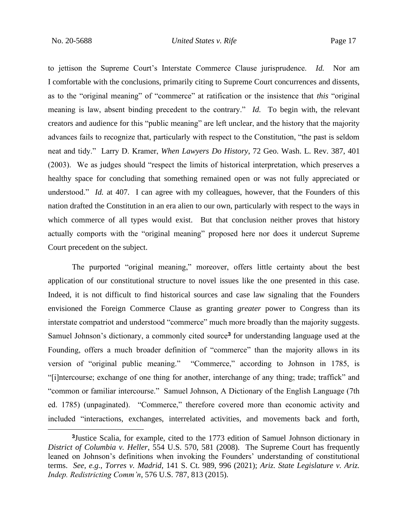to jettison the Supreme Court's Interstate Commerce Clause jurisprudence. *Id.* Nor am I comfortable with the conclusions, primarily citing to Supreme Court concurrences and dissents, as to the "original meaning" of "commerce" at ratification or the insistence that *this* "original meaning is law, absent binding precedent to the contrary." *Id.* To begin with, the relevant creators and audience for this "public meaning" are left unclear, and the history that the majority advances fails to recognize that, particularly with respect to the Constitution, "the past is seldom neat and tidy." Larry D. Kramer, *When Lawyers Do History*, 72 Geo. Wash. L. Rev. 387, 401 (2003). We as judges should "respect the limits of historical interpretation, which preserves a healthy space for concluding that something remained open or was not fully appreciated or understood." *Id.* at 407. I can agree with my colleagues, however, that the Founders of this nation drafted the Constitution in an era alien to our own, particularly with respect to the ways in which commerce of all types would exist. But that conclusion neither proves that history actually comports with the "original meaning" proposed here nor does it undercut Supreme Court precedent on the subject.

The purported "original meaning," moreover, offers little certainty about the best application of our constitutional structure to novel issues like the one presented in this case. Indeed, it is not difficult to find historical sources and case law signaling that the Founders envisioned the Foreign Commerce Clause as granting *greater* power to Congress than its interstate compatriot and understood "commerce" much more broadly than the majority suggests. Samuel Johnson's dictionary, a commonly cited source**<sup>3</sup>** for understanding language used at the Founding, offers a much broader definition of "commerce" than the majority allows in its version of "original public meaning." "Commerce," according to Johnson in 1785, is "[i]ntercourse; exchange of one thing for another, interchange of any thing; trade; traffick" and "common or familiar intercourse." Samuel Johnson, A Dictionary of the English Language (7th ed. 1785) (unpaginated). "Commerce," therefore covered more than economic activity and included "interactions, exchanges, interrelated activities, and movements back and forth,

**<sup>3</sup>** Justice Scalia, for example, cited to the 1773 edition of Samuel Johnson dictionary in *District of Columbia v. Heller*, 554 U.S. 570, 581 (2008). The Supreme Court has frequently leaned on Johnson's definitions when invoking the Founders' understanding of constitutional terms. *See, e.g.*, *Torres v. Madrid*, 141 S. Ct. 989, 996 (2021); *Ariz. State Legislature v. Ariz. Indep. Redistricting Comm'n*, 576 U.S. 787, 813 (2015).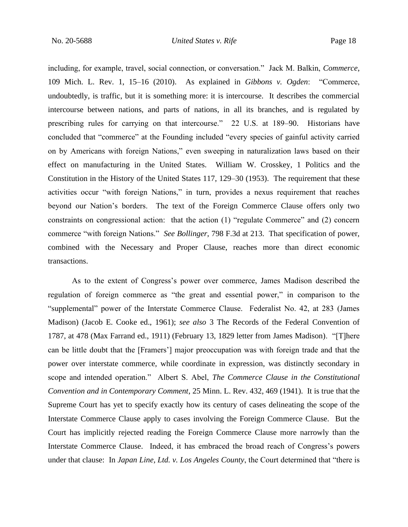including, for example, travel, social connection, or conversation." Jack M. Balkin, *Commerce*, 109 Mich. L. Rev. 1, 15–16 (2010). As explained in *Gibbons v. Ogden*: "Commerce, undoubtedly, is traffic, but it is something more: it is intercourse. It describes the commercial intercourse between nations, and parts of nations, in all its branches, and is regulated by prescribing rules for carrying on that intercourse." 22 U.S. at 189–90. Historians have concluded that "commerce" at the Founding included "every species of gainful activity carried on by Americans with foreign Nations," even sweeping in naturalization laws based on their effect on manufacturing in the United States. William W. Crosskey, 1 Politics and the Constitution in the History of the United States 117, 129–30 (1953). The requirement that these activities occur "with foreign Nations," in turn, provides a nexus requirement that reaches beyond our Nation's borders. The text of the Foreign Commerce Clause offers only two constraints on congressional action: that the action (1) "regulate Commerce" and (2) concern commerce "with foreign Nations." *See Bollinger*, 798 F.3d at 213. That specification of power, combined with the Necessary and Proper Clause, reaches more than direct economic transactions.

As to the extent of Congress's power over commerce, James Madison described the regulation of foreign commerce as "the great and essential power," in comparison to the "supplemental" power of the Interstate Commerce Clause. Federalist No. 42, at 283 (James Madison) (Jacob E. Cooke ed., 1961); *see also* 3 The Records of the Federal Convention of 1787, at 478 (Max Farrand ed., 1911) (February 13, 1829 letter from James Madison). "[T]here can be little doubt that the [Framers'] major preoccupation was with foreign trade and that the power over interstate commerce, while coordinate in expression, was distinctly secondary in scope and intended operation." Albert S. Abel, *The Commerce Clause in the Constitutional Convention and in Contemporary Comment*, 25 Minn. L. Rev. 432, 469 (1941). It is true that the Supreme Court has yet to specify exactly how its century of cases delineating the scope of the Interstate Commerce Clause apply to cases involving the Foreign Commerce Clause. But the Court has implicitly rejected reading the Foreign Commerce Clause more narrowly than the Interstate Commerce Clause. Indeed, it has embraced the broad reach of Congress's powers under that clause: In *Japan Line, Ltd. v. Los Angeles County*, the Court determined that "there is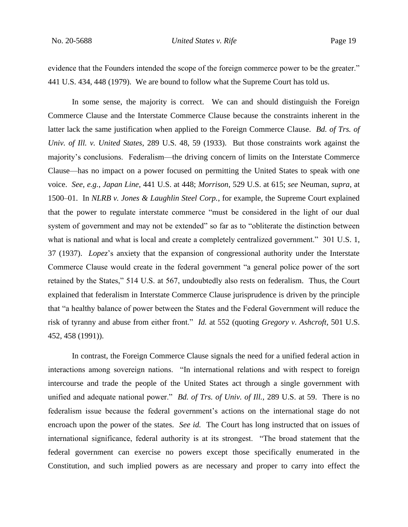evidence that the Founders intended the scope of the foreign commerce power to be the greater." 441 U.S. 434, 448 (1979). We are bound to follow what the Supreme Court has told us.

In some sense, the majority is correct. We can and should distinguish the Foreign Commerce Clause and the Interstate Commerce Clause because the constraints inherent in the latter lack the same justification when applied to the Foreign Commerce Clause. *Bd. of Trs. of Univ. of Ill. v. United States*, 289 U.S. 48, 59 (1933). But those constraints work against the majority's conclusions. Federalism—the driving concern of limits on the Interstate Commerce Clause—has no impact on a power focused on permitting the United States to speak with one voice. *See, e.g.*, *Japan Line*, 441 U.S. at 448; *Morrison*, 529 U.S. at 615; *see* Neuman, *supra*, at 1500–01. In *NLRB v. Jones & Laughlin Steel Corp.*, for example, the Supreme Court explained that the power to regulate interstate commerce "must be considered in the light of our dual system of government and may not be extended" so far as to "obliterate the distinction between what is national and what is local and create a completely centralized government." 301 U.S. 1, 37 (1937). *Lopez*'s anxiety that the expansion of congressional authority under the Interstate Commerce Clause would create in the federal government "a general police power of the sort retained by the States," 514 U.S. at 567, undoubtedly also rests on federalism. Thus, the Court explained that federalism in Interstate Commerce Clause jurisprudence is driven by the principle that "a healthy balance of power between the States and the Federal Government will reduce the risk of tyranny and abuse from either front." *Id.* at 552 (quoting *Gregory v. Ashcroft*, 501 U.S. 452, 458 (1991)).

In contrast, the Foreign Commerce Clause signals the need for a unified federal action in interactions among sovereign nations. "In international relations and with respect to foreign intercourse and trade the people of the United States act through a single government with unified and adequate national power." *Bd. of Trs. of Univ. of Ill.*, 289 U.S. at 59. There is no federalism issue because the federal government's actions on the international stage do not encroach upon the power of the states. *See id.* The Court has long instructed that on issues of international significance, federal authority is at its strongest. "The broad statement that the federal government can exercise no powers except those specifically enumerated in the Constitution, and such implied powers as are necessary and proper to carry into effect the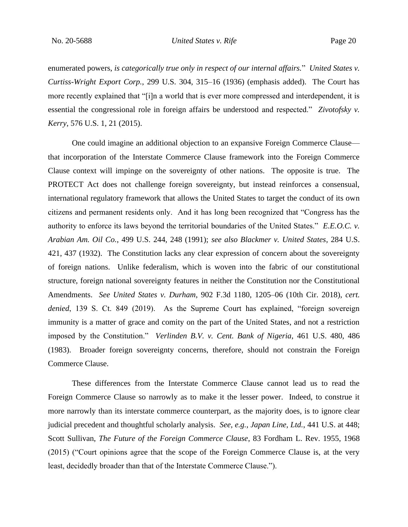enumerated powers, *is categorically true only in respect of our internal affairs.*" *United States v. Curtiss-Wright Export Corp.*, 299 U.S. 304, 315–16 (1936) (emphasis added). The Court has more recently explained that "[i]n a world that is ever more compressed and interdependent, it is essential the congressional role in foreign affairs be understood and respected." *Zivotofsky v. Kerry*, 576 U.S. 1, 21 (2015).

One could imagine an additional objection to an expansive Foreign Commerce Clause that incorporation of the Interstate Commerce Clause framework into the Foreign Commerce Clause context will impinge on the sovereignty of other nations. The opposite is true. The PROTECT Act does not challenge foreign sovereignty, but instead reinforces a consensual, international regulatory framework that allows the United States to target the conduct of its own citizens and permanent residents only. And it has long been recognized that "Congress has the authority to enforce its laws beyond the territorial boundaries of the United States." *E.E.O.C. v. Arabian Am. Oil Co.*, 499 U.S. 244, 248 (1991); *see also Blackmer v. United States*, 284 U.S. 421, 437 (1932). The Constitution lacks any clear expression of concern about the sovereignty of foreign nations. Unlike federalism, which is woven into the fabric of our constitutional structure, foreign national sovereignty features in neither the Constitution nor the Constitutional Amendments. *See United States v. Durham*, 902 F.3d 1180, 1205–06 (10th Cir. 2018), *cert. denied*, 139 S. Ct. 849 (2019). As the Supreme Court has explained, "foreign sovereign immunity is a matter of grace and comity on the part of the United States, and not a restriction imposed by the Constitution." *Verlinden B.V. v. Cent. Bank of Nigeria*, 461 U.S. 480, 486 (1983). Broader foreign sovereignty concerns, therefore, should not constrain the Foreign Commerce Clause.

These differences from the Interstate Commerce Clause cannot lead us to read the Foreign Commerce Clause so narrowly as to make it the lesser power. Indeed, to construe it more narrowly than its interstate commerce counterpart, as the majority does, is to ignore clear judicial precedent and thoughtful scholarly analysis. *See, e.g.*, *Japan Line, Ltd.*, 441 U.S. at 448; Scott Sullivan, *The Future of the Foreign Commerce Clause*, 83 Fordham L. Rev. 1955, 1968 (2015) ("Court opinions agree that the scope of the Foreign Commerce Clause is, at the very least, decidedly broader than that of the Interstate Commerce Clause.").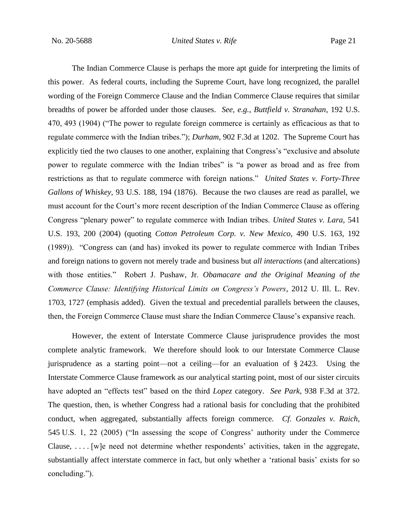The Indian Commerce Clause is perhaps the more apt guide for interpreting the limits of this power. As federal courts, including the Supreme Court, have long recognized, the parallel wording of the Foreign Commerce Clause and the Indian Commerce Clause requires that similar breadths of power be afforded under those clauses. *See, e.g.*, *Buttfield v. Stranahan*, 192 U.S. 470, 493 (1904) ("The power to regulate foreign commerce is certainly as efficacious as that to regulate commerce with the Indian tribes."); *Durham*, 902 F.3d at 1202. The Supreme Court has explicitly tied the two clauses to one another, explaining that Congress's "exclusive and absolute power to regulate commerce with the Indian tribes" is "a power as broad and as free from restrictions as that to regulate commerce with foreign nations." *United States v. Forty-Three Gallons of Whiskey*, 93 U.S. 188, 194 (1876). Because the two clauses are read as parallel, we must account for the Court's more recent description of the Indian Commerce Clause as offering Congress "plenary power" to regulate commerce with Indian tribes. *United States v. Lara*, 541 U.S. 193, 200 (2004) (quoting *Cotton Petroleum Corp. v. New Mexico*, 490 U.S. 163, 192 (1989)). "Congress can (and has) invoked its power to regulate commerce with Indian Tribes and foreign nations to govern not merely trade and business but *all interactions* (and altercations) with those entities." Robert J. Pushaw, Jr. *Obamacare and the Original Meaning of the Commerce Clause: Identifying Historical Limits on Congress's Powers*, 2012 U. Ill. L. Rev. 1703, 1727 (emphasis added). Given the textual and precedential parallels between the clauses, then, the Foreign Commerce Clause must share the Indian Commerce Clause's expansive reach.

However, the extent of Interstate Commerce Clause jurisprudence provides the most complete analytic framework. We therefore should look to our Interstate Commerce Clause jurisprudence as a starting point—not a ceiling—for an evaluation of § 2423. Using the Interstate Commerce Clause framework as our analytical starting point, most of our sister circuits have adopted an "effects test" based on the third *Lopez* category. *See Park*, 938 F.3d at 372. The question, then, is whether Congress had a rational basis for concluding that the prohibited conduct, when aggregated, substantially affects foreign commerce. *Cf. Gonzales v. Raich*, 545 U.S. 1, 22 (2005) ("In assessing the scope of Congress' authority under the Commerce Clause, . . . . [w]e need not determine whether respondents' activities, taken in the aggregate, substantially affect interstate commerce in fact, but only whether a 'rational basis' exists for so concluding.").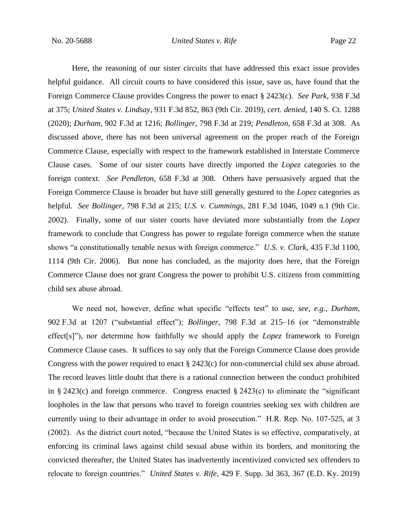Here, the reasoning of our sister circuits that have addressed this exact issue provides helpful guidance. All circuit courts to have considered this issue, save us, have found that the Foreign Commerce Clause provides Congress the power to enact § 2423(c). *See Park*, 938 F.3d at 375; *United States v. Lindsay*, 931 F.3d 852, 863 (9th Cir. 2019), *cert. denied*, 140 S. Ct. 1288 (2020); *Durham*, 902 F.3d at 1216; *Bollinger*, 798 F.3d at 219; *Pendleton*, 658 F.3d at 308.As discussed above, there has not been universal agreement on the proper reach of the Foreign Commerce Clause, especially with respect to the framework established in Interstate Commerce Clause cases. Some of our sister courts have directly imported the *Lopez* categories to the foreign context. *See Pendleton*, 658 F.3d at 308. Others have persuasively argued that the Foreign Commerce Clause is broader but have still generally gestured to the *Lopez* categories as helpful. *See Bollinger*, 798 F.3d at 215; *U.S. v. Cummings*, 281 F.3d 1046, 1049 n.1 (9th Cir. 2002). Finally, some of our sister courts have deviated more substantially from the *Lopez*  framework to conclude that Congress has power to regulate foreign commerce when the statute shows "a constitutionally tenable nexus with foreign commerce." *U.S. v. Clark*, 435 F.3d 1100, 1114 (9th Cir. 2006). But none has concluded, as the majority does here, that the Foreign Commerce Clause does not grant Congress the power to prohibit U.S. citizens from committing child sex abuse abroad.

We need not, however, define what specific "effects test" to use, *see, e.g.*, *Durham*, 902 F.3d at 1207 ("substantial effect"); *Bollinger*, 798 F.3d at 215–16 (or "demonstrable effect[s]"), nor determine how faithfully we should apply the *Lopez* framework to Foreign Commerce Clause cases. It suffices to say only that the Foreign Commerce Clause does provide Congress with the power required to enact  $\S$  2423(c) for non-commercial child sex abuse abroad. The record leaves little doubt that there is a rational connection between the conduct prohibited in § 2423(c) and foreign commerce. Congress enacted § 2423(c) to eliminate the "significant loopholes in the law that persons who travel to foreign countries seeking sex with children are currently using to their advantage in order to avoid prosecution." H.R. Rep. No. 107-525, at 3 (2002). As the district court noted, "because the United States is so effective, comparatively, at enforcing its criminal laws against child sexual abuse within its borders, and monitoring the convicted thereafter, the United States has inadvertently incentivized convicted sex offenders to relocate to foreign countries." *United States v. Rife*, 429 F. Supp. 3d 363, 367 (E.D. Ky. 2019)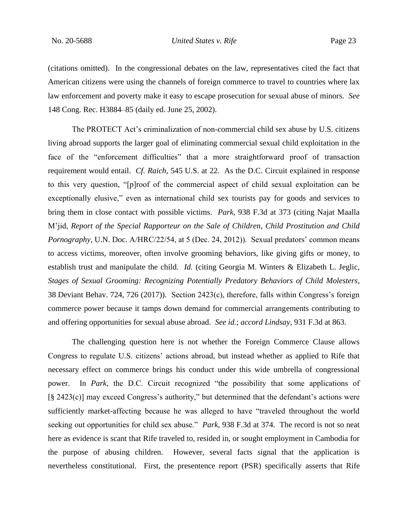(citations omitted). In the congressional debates on the law, representatives cited the fact that American citizens were using the channels of foreign commerce to travel to countries where lax law enforcement and poverty make it easy to escape prosecution for sexual abuse of minors. *See*  148 Cong. Rec. H3884–85 (daily ed. June 25, 2002).

The PROTECT Act's criminalization of non-commercial child sex abuse by U.S. citizens living abroad supports the larger goal of eliminating commercial sexual child exploitation in the face of the "enforcement difficulties" that a more straightforward proof of transaction requirement would entail. *Cf. Raich*, 545 U.S. at 22. As the D.C. Circuit explained in response to this very question, "[p]roof of the commercial aspect of child sexual exploitation can be exceptionally elusive," even as international child sex tourists pay for goods and services to bring them in close contact with possible victims. *Park*, 938 F.3d at 373 (citing Najat Maalla M'jid, *Report of the Special Rapporteur on the Sale of Children, Child Prostitution and Child Pornography*, U.N. Doc. A/HRC/22/54, at 5 (Dec. 24, 2012)). Sexual predators' common means to access victims, moreover, often involve grooming behaviors, like giving gifts or money, to establish trust and manipulate the child. *Id.* (citing Georgia M. Winters & Elizabeth L. Jeglic, *Stages of Sexual Grooming: Recognizing Potentially Predatory Behaviors of Child Molesters*, 38 Deviant Behav. 724, 726 (2017)).Section 2423(c), therefore, falls within Congress's foreign commerce power because it tamps down demand for commercial arrangements contributing to and offering opportunities for sexual abuse abroad. *See id.*; *accord Lindsay*, 931 F.3d at 863.

The challenging question here is not whether the Foreign Commerce Clause allows Congress to regulate U.S. citizens' actions abroad, but instead whether as applied to Rife that necessary effect on commerce brings his conduct under this wide umbrella of congressional power. In *Park*, the D.C. Circuit recognized "the possibility that some applications of [§ 2423(c)] may exceed Congress's authority," but determined that the defendant's actions were sufficiently market-affecting because he was alleged to have "traveled throughout the world seeking out opportunities for child sex abuse." *Park*, 938 F.3d at 374. The record is not so neat here as evidence is scant that Rife traveled to, resided in, or sought employment in Cambodia for the purpose of abusing children. However, several facts signal that the application is nevertheless constitutional. First, the presentence report (PSR) specifically asserts that Rife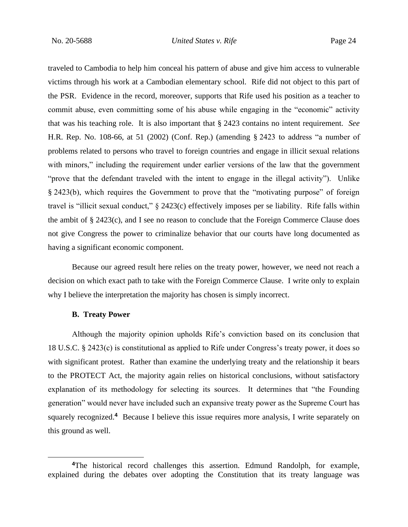traveled to Cambodia to help him conceal his pattern of abuse and give him access to vulnerable victims through his work at a Cambodian elementary school. Rife did not object to this part of the PSR. Evidence in the record, moreover, supports that Rife used his position as a teacher to commit abuse, even committing some of his abuse while engaging in the "economic" activity that was his teaching role. It is also important that § 2423 contains no intent requirement. *See*  H.R. Rep. No. 108-66, at 51 (2002) (Conf. Rep.) (amending § 2423 to address "a number of problems related to persons who travel to foreign countries and engage in illicit sexual relations with minors," including the requirement under earlier versions of the law that the government "prove that the defendant traveled with the intent to engage in the illegal activity"). Unlike § 2423(b), which requires the Government to prove that the "motivating purpose" of foreign travel is "illicit sexual conduct," § 2423(c) effectively imposes per se liability. Rife falls within the ambit of § 2423(c), and I see no reason to conclude that the Foreign Commerce Clause does not give Congress the power to criminalize behavior that our courts have long documented as having a significant economic component.

Because our agreed result here relies on the treaty power, however, we need not reach a decision on which exact path to take with the Foreign Commerce Clause. I write only to explain why I believe the interpretation the majority has chosen is simply incorrect.

#### **B. Treaty Power**

Although the majority opinion upholds Rife's conviction based on its conclusion that 18 U.S.C. § 2423(c) is constitutional as applied to Rife under Congress's treaty power, it does so with significant protest. Rather than examine the underlying treaty and the relationship it bears to the PROTECT Act, the majority again relies on historical conclusions, without satisfactory explanation of its methodology for selecting its sources. It determines that "the Founding generation" would never have included such an expansive treaty power as the Supreme Court has squarely recognized.<sup>4</sup> Because I believe this issue requires more analysis, I write separately on this ground as well.

**<sup>4</sup>**The historical record challenges this assertion. Edmund Randolph, for example, explained during the debates over adopting the Constitution that its treaty language was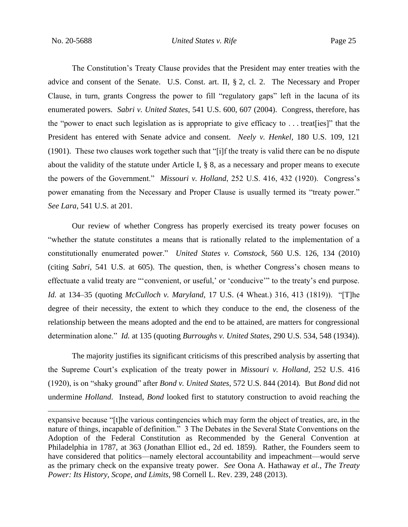The Constitution's Treaty Clause provides that the President may enter treaties with the advice and consent of the Senate. U.S. Const. art. II, § 2, cl. 2. The Necessary and Proper Clause, in turn, grants Congress the power to fill "regulatory gaps" left in the lacuna of its enumerated powers. *Sabri v. United States*, 541 U.S. 600, 607 (2004). Congress, therefore, has the "power to enact such legislation as is appropriate to give efficacy to . . . treat[ies]" that the President has entered with Senate advice and consent. *Neely v. Henkel*, 180 U.S. 109, 121 (1901).These two clauses work together such that "[i]f the treaty is valid there can be no dispute about the validity of the statute under Article I, § 8, as a necessary and proper means to execute the powers of the Government." *Missouri v. Holland*, 252 U.S. 416, 432 (1920). Congress's power emanating from the Necessary and Proper Clause is usually termed its "treaty power." *See Lara*, 541 U.S. at 201.

Our review of whether Congress has properly exercised its treaty power focuses on "whether the statute constitutes a means that is rationally related to the implementation of a constitutionally enumerated power." *United States v. Comstock*, 560 U.S. 126, 134 (2010) (citing *Sabri*, 541 U.S. at 605). The question, then, is whether Congress's chosen means to effectuate a valid treaty are "'convenient, or useful,' or 'conducive'" to the treaty's end purpose. *Id.* at 134–35 (quoting *McCulloch v. Maryland*, 17 U.S. (4 Wheat.) 316, 413 (1819)). "[T]he degree of their necessity, the extent to which they conduce to the end, the closeness of the relationship between the means adopted and the end to be attained, are matters for congressional determination alone." *Id.* at 135 (quoting *Burroughs v. United States*, 290 U.S. 534, 548 (1934)).

The majority justifies its significant criticisms of this prescribed analysis by asserting that the Supreme Court's explication of the treaty power in *Missouri v. Holland*, 252 U.S. 416 (1920), is on "shaky ground" after *Bond v. United States*, 572 U.S. 844 (2014)*.* But *Bond* did not undermine *Holland*. Instead, *Bond* looked first to statutory construction to avoid reaching the

expansive because "[t]he various contingencies which may form the object of treaties, are, in the nature of things, incapable of definition." 3 The Debates in the Several State Conventions on the Adoption of the Federal Constitution as Recommended by the General Convention at Philadelphia in 1787, at 363 (Jonathan Elliot ed., 2d ed. 1859). Rather, the Founders seem to have considered that politics—namely electoral accountability and impeachment—would serve as the primary check on the expansive treaty power. *See* Oona A. Hathaway *et al.*, *The Treaty Power: Its History, Scope, and Limits*, 98 Cornell L. Rev. 239, 248 (2013).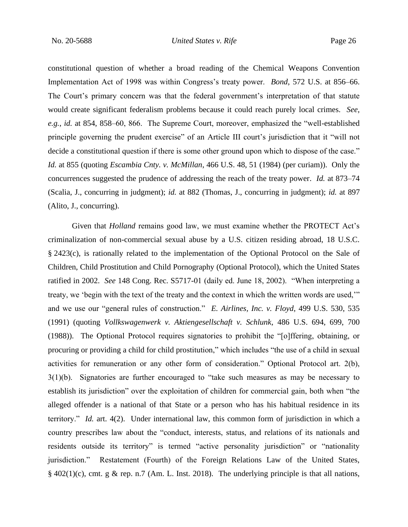constitutional question of whether a broad reading of the Chemical Weapons Convention Implementation Act of 1998 was within Congress's treaty power. *Bond*, 572 U.S. at 856–66. The Court's primary concern was that the federal government's interpretation of that statute would create significant federalism problems because it could reach purely local crimes. *See, e.g.*, *id.* at 854, 858–60, 866. The Supreme Court, moreover, emphasized the "well-established principle governing the prudent exercise" of an Article III court's jurisdiction that it "will not decide a constitutional question if there is some other ground upon which to dispose of the case." *Id.* at 855 (quoting *Escambia Cnty. v. McMillan*, 466 U.S. 48, 51 (1984) (per curiam)). Only the concurrences suggested the prudence of addressing the reach of the treaty power. *Id.* at 873–74 (Scalia, J., concurring in judgment); *id.* at 882 (Thomas, J., concurring in judgment); *id.* at 897 (Alito, J., concurring).

Given that *Holland* remains good law, we must examine whether the PROTECT Act's criminalization of non-commercial sexual abuse by a U.S. citizen residing abroad, 18 U.S.C. § 2423(c), is rationally related to the implementation of the Optional Protocol on the Sale of Children, Child Prostitution and Child Pornography (Optional Protocol), which the United States ratified in 2002. *See* 148 Cong. Rec. S5717-01 (daily ed. June 18, 2002). "When interpreting a treaty, we 'begin with the text of the treaty and the context in which the written words are used,'" and we use our "general rules of construction." *E. Airlines, Inc. v. Floyd*, 499 U.S. 530, 535 (1991) (quoting *Vollkswagenwerk v. Aktiengesellschaft v. Schlunk*, 486 U.S. 694, 699, 700 (1988)). The Optional Protocol requires signatories to prohibit the "[o]ffering, obtaining, or procuring or providing a child for child prostitution," which includes "the use of a child in sexual activities for remuneration or any other form of consideration." Optional Protocol art. 2(b), 3(1)(b). Signatories are further encouraged to "take such measures as may be necessary to establish its jurisdiction" over the exploitation of children for commercial gain, both when "the alleged offender is a national of that State or a person who has his habitual residence in its territory." *Id.* art. 4(2). Under international law, this common form of jurisdiction in which a country prescribes law about the "conduct, interests, status, and relations of its nationals and residents outside its territory" is termed "active personality jurisdiction" or "nationality jurisdiction." Restatement (Fourth) of the Foreign Relations Law of the United States,  $§$  402(1)(c), cmt. g & rep. n.7 (Am. L. Inst. 2018). The underlying principle is that all nations,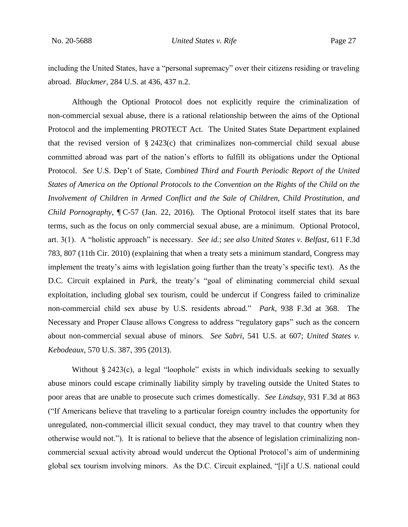including the United States, have a "personal supremacy" over their citizens residing or traveling abroad. *Blackmer*, 284 U.S. at 436, 437 n.2.

Although the Optional Protocol does not explicitly require the criminalization of non-commercial sexual abuse, there is a rational relationship between the aims of the Optional Protocol and the implementing PROTECT Act. The United States State Department explained that the revised version of  $\S 2423(c)$  that criminalizes non-commercial child sexual abuse committed abroad was part of the nation's efforts to fulfill its obligations under the Optional Protocol. *See* U.S. Dep't of State, *Combined Third and Fourth Periodic Report of the United States of America on the Optional Protocols to the Convention on the Rights of the Child on the Involvement of Children in Armed Conflict and the Sale of Children, Child Prostitution, and Child Pornography*, ¶ C-57 (Jan. 22, 2016). The Optional Protocol itself states that its bare terms, such as the focus on only commercial sexual abuse, are a minimum. Optional Protocol, art. 3(1). A "holistic approach" is necessary. *See id.*; *see also United States v. Belfast*, 611 F.3d 783, 807 (11th Cir. 2010) (explaining that when a treaty sets a minimum standard, Congress may implement the treaty's aims with legislation going further than the treaty's specific text).As the D.C. Circuit explained in *Park*, the treaty's "goal of eliminating commercial child sexual exploitation, including global sex tourism, could be undercut if Congress failed to criminalize non-commercial child sex abuse by U.S. residents abroad." *Park*, 938 F.3d at 368. The Necessary and Proper Clause allows Congress to address "regulatory gaps" such as the concern about non-commercial sexual abuse of minors. *See Sabri*, 541 U.S. at 607; *United States v. Kebodeaux*, 570 U.S. 387, 395 (2013).

Without § 2423(c), a legal "loophole" exists in which individuals seeking to sexually abuse minors could escape criminally liability simply by traveling outside the United States to poor areas that are unable to prosecute such crimes domestically. *See Lindsay*, 931 F.3d at 863 ("If Americans believe that traveling to a particular foreign country includes the opportunity for unregulated, non-commercial illicit sexual conduct, they may travel to that country when they otherwise would not."). It is rational to believe that the absence of legislation criminalizing noncommercial sexual activity abroad would undercut the Optional Protocol's aim of undermining global sex tourism involving minors. As the D.C. Circuit explained, "[i]f a U.S. national could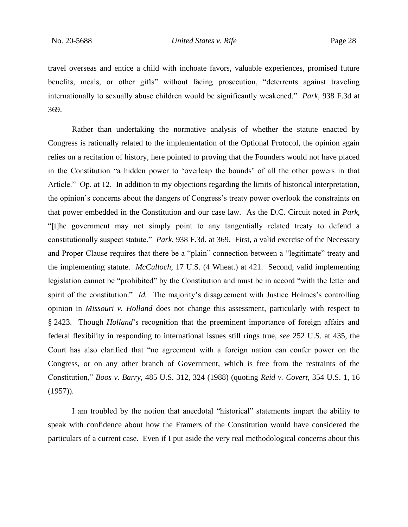travel overseas and entice a child with inchoate favors, valuable experiences, promised future benefits, meals, or other gifts" without facing prosecution, "deterrents against traveling internationally to sexually abuse children would be significantly weakened." *Park*, 938 F.3d at 369.

Rather than undertaking the normative analysis of whether the statute enacted by Congress is rationally related to the implementation of the Optional Protocol, the opinion again relies on a recitation of history, here pointed to proving that the Founders would not have placed in the Constitution "a hidden power to 'overleap the bounds' of all the other powers in that Article." Op. at 12. In addition to my objections regarding the limits of historical interpretation, the opinion's concerns about the dangers of Congress's treaty power overlook the constraints on that power embedded in the Constitution and our case law. As the D.C. Circuit noted in *Park*, "[t]he government may not simply point to any tangentially related treaty to defend a constitutionally suspect statute." *Park*, 938 F.3d. at 369. First, a valid exercise of the Necessary and Proper Clause requires that there be a "plain" connection between a "legitimate" treaty and the implementing statute. *McCulloch*, 17 U.S. (4 Wheat.) at 421. Second, valid implementing legislation cannot be "prohibited" by the Constitution and must be in accord "with the letter and spirit of the constitution." *Id.* The majority's disagreement with Justice Holmes's controlling opinion in *Missouri v. Holland* does not change this assessment, particularly with respect to § 2423. Though *Holland*'s recognition that the preeminent importance of foreign affairs and federal flexibility in responding to international issues still rings true, *see* 252 U.S. at 435, the Court has also clarified that "no agreement with a foreign nation can confer power on the Congress, or on any other branch of Government, which is free from the restraints of the Constitution," *Boos v. Barry*, 485 U.S. 312, 324 (1988) (quoting *Reid v. Covert*, 354 U.S. 1, 16 (1957)).

I am troubled by the notion that anecdotal "historical" statements impart the ability to speak with confidence about how the Framers of the Constitution would have considered the particulars of a current case. Even if I put aside the very real methodological concerns about this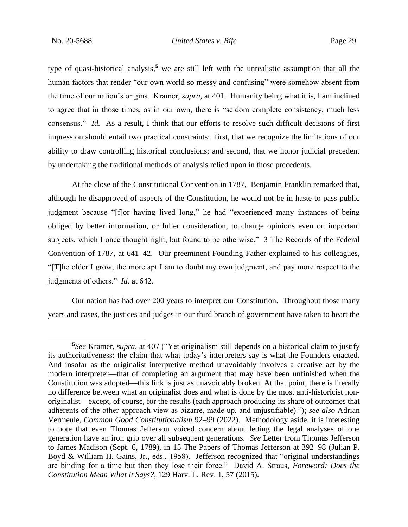type of quasi-historical analysis,**<sup>5</sup>** we are still left with the unrealistic assumption that all the human factors that render "our own world so messy and confusing" were somehow absent from the time of our nation's origins. Kramer, *supra*, at 401. Humanity being what it is, I am inclined to agree that in those times, as in our own, there is "seldom complete consistency, much less consensus." *Id.* As a result, I think that our efforts to resolve such difficult decisions of first impression should entail two practical constraints: first, that we recognize the limitations of our ability to draw controlling historical conclusions; and second, that we honor judicial precedent by undertaking the traditional methods of analysis relied upon in those precedents.

At the close of the Constitutional Convention in 1787, Benjamin Franklin remarked that, although he disapproved of aspects of the Constitution, he would not be in haste to pass public judgment because "[f]or having lived long," he had "experienced many instances of being obliged by better information, or fuller consideration, to change opinions even on important subjects, which I once thought right, but found to be otherwise." 3 The Records of the Federal Convention of 1787, at 641–42. Our preeminent Founding Father explained to his colleagues, "[T]he older I grow, the more apt I am to doubt my own judgment, and pay more respect to the judgments of others." *Id.* at 642.

Our nation has had over 200 years to interpret our Constitution. Throughout those many years and cases, the justices and judges in our third branch of government have taken to heart the

**<sup>5</sup>***See* Kramer, *supra*, at 407 ("Yet originalism still depends on a historical claim to justify its authoritativeness: the claim that what today's interpreters say is what the Founders enacted. And insofar as the originalist interpretive method unavoidably involves a creative act by the modern interpreter—that of completing an argument that may have been unfinished when the Constitution was adopted—this link is just as unavoidably broken. At that point, there is literally no difference between what an originalist does and what is done by the most anti-historicist nonoriginalist—except, of course, for the results (each approach producing its share of outcomes that adherents of the other approach view as bizarre, made up, and unjustifiable)."); *see also* Adrian Vermeule, *Common Good Constitutionalism* 92–99 (2022). Methodology aside, it is interesting to note that even Thomas Jefferson voiced concern about letting the legal analyses of one generation have an iron grip over all subsequent generations. *See* Letter from Thomas Jefferson to James Madison (Sept. 6, 1789), in 15 The Papers of Thomas Jefferson at 392–98 (Julian P. Boyd & William H. Gains, Jr., eds., 1958). Jefferson recognized that "original understandings are binding for a time but then they lose their force." David A. Straus, *Foreword: Does the Constitution Mean What It Says?*, 129 Harv. L. Rev. 1, 57 (2015).